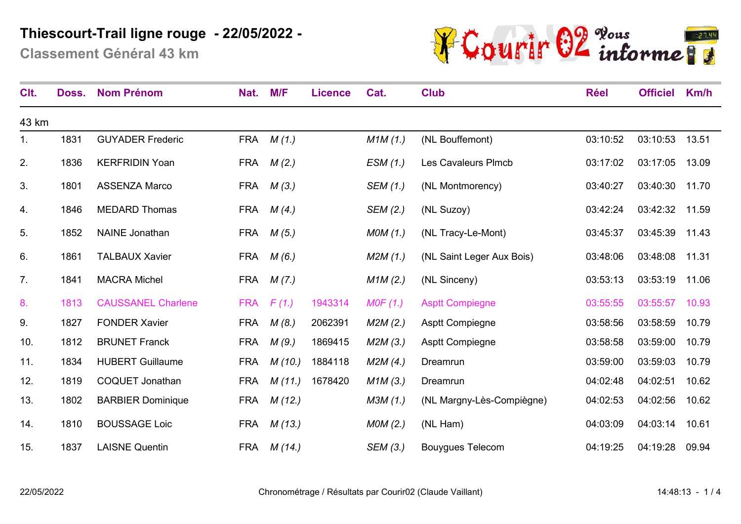**Classement Général 43 km**



| Clt.           | Doss. | <b>Nom Prénom</b>         | Nat.       | M/F    | <b>Licence</b> | Cat.     | <b>Club</b>               | <b>Réel</b> | <b>Officiel</b> | Km/h  |
|----------------|-------|---------------------------|------------|--------|----------------|----------|---------------------------|-------------|-----------------|-------|
| 43 km          |       |                           |            |        |                |          |                           |             |                 |       |
| $\mathbf{1}$ . | 1831  | <b>GUYADER Frederic</b>   | <b>FRA</b> | M(1.)  |                | M1M(1.)  | (NL Bouffemont)           | 03:10:52    | 03:10:53        | 13.51 |
| 2.             | 1836  | <b>KERFRIDIN Yoan</b>     | <b>FRA</b> | M(2.)  |                | ESM(1.)  | Les Cavaleurs Plmcb       | 03:17:02    | 03:17:05        | 13.09 |
| 3.             | 1801  | <b>ASSENZA Marco</b>      | <b>FRA</b> | M(3.)  |                | SEM (1.) | (NL Montmorency)          | 03:40:27    | 03:40:30        | 11.70 |
| 4.             | 1846  | <b>MEDARD Thomas</b>      | <b>FRA</b> | M(4)   |                | SEM (2.) | (NL Suzoy)                | 03:42:24    | 03:42:32        | 11.59 |
| 5.             | 1852  | <b>NAINE</b> Jonathan     | <b>FRA</b> | M(5.)  |                | MOM(1.)  | (NL Tracy-Le-Mont)        | 03:45:37    | 03:45:39        | 11.43 |
| 6.             | 1861  | <b>TALBAUX Xavier</b>     | <b>FRA</b> | M(6.)  |                | M2M(1.)  | (NL Saint Leger Aux Bois) | 03:48:06    | 03:48:08        | 11.31 |
| 7.             | 1841  | <b>MACRA Michel</b>       | FRA        | M(7.)  |                | M1M(2.)  | (NL Sinceny)              | 03:53:13    | 03:53:19        | 11.06 |
| 8.             | 1813  | <b>CAUSSANEL Charlene</b> | <b>FRA</b> | F(1)   | 1943314        | MOF(1.)  | <b>Asptt Compiegne</b>    | 03:55:55    | 03:55:57        | 10.93 |
| 9.             | 1827  | <b>FONDER Xavier</b>      | <b>FRA</b> | M(8)   | 2062391        | M2M(2.)  | <b>Asptt Compiegne</b>    | 03:58:56    | 03:58:59        | 10.79 |
| 10.            | 1812  | <b>BRUNET Franck</b>      | <b>FRA</b> | M(9.)  | 1869415        | M2M(3.)  | <b>Asptt Compiegne</b>    | 03:58:58    | 03:59:00        | 10.79 |
| 11.            | 1834  | <b>HUBERT Guillaume</b>   | <b>FRA</b> | M(10.) | 1884118        | M2M(4.)  | Dreamrun                  | 03:59:00    | 03:59:03        | 10.79 |
| 12.            | 1819  | <b>COQUET Jonathan</b>    | <b>FRA</b> | M(11.) | 1678420        | M1M(3.)  | Dreamrun                  | 04:02:48    | 04:02:51        | 10.62 |
| 13.            | 1802  | <b>BARBIER Dominique</b>  | <b>FRA</b> | M(12.) |                | M3M(1.)  | (NL Margny-Lès-Compiègne) | 04:02:53    | 04:02:56        | 10.62 |
| 14.            | 1810  | <b>BOUSSAGE Loic</b>      | <b>FRA</b> | M(13.) |                | MOM(2.)  | (NL Ham)                  | 04:03:09    | 04:03:14        | 10.61 |
| 15.            | 1837  | <b>LAISNE Quentin</b>     | <b>FRA</b> | M(14.) |                | SEM (3.) | <b>Bouygues Telecom</b>   | 04:19:25    | 04:19:28        | 09.94 |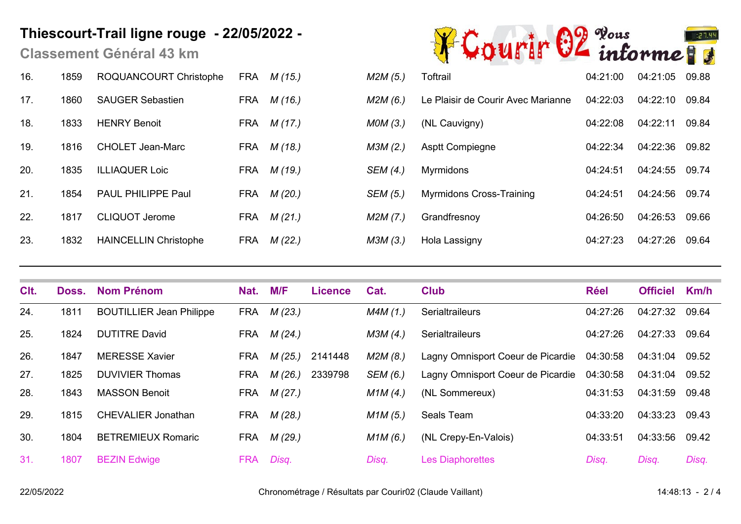**Classement Général 43 km**

| 16. | 1859 | ROQUANCOURT Christophe       |     | FRA <i>M (15.)</i> | M2M(5.)  | Toftrail                           | 04:21:00 | 04:21:05 | 09.88 |
|-----|------|------------------------------|-----|--------------------|----------|------------------------------------|----------|----------|-------|
| 17. | 1860 | <b>SAUGER Sebastien</b>      | FRA | M (16.)            | M2M(6.)  | Le Plaisir de Courir Avec Marianne | 04:22:03 | 04:22:10 | 09.84 |
| 18. | 1833 | <b>HENRY Benoit</b>          |     | FRA <i>M (17.)</i> | MOM(3.)  | (NL Cauvigny)                      | 04:22:08 | 04:22:11 | 09.84 |
| 19. | 1816 | <b>CHOLET Jean-Marc</b>      |     | FRA <i>M (18.)</i> | M3M(2.)  | <b>Asptt Compiegne</b>             | 04:22:34 | 04:22:36 | 09.82 |
| 20. | 1835 | <b>ILLIAQUER Loic</b>        |     | FRA <i>M (19.)</i> | SEM (4.) | Myrmidons                          | 04:24:51 | 04:24:55 | 09.74 |
| 21. | 1854 | <b>PAUL PHILIPPE Paul</b>    |     | FRA <i>M (20.)</i> | SEM (5.) | <b>Myrmidons Cross-Training</b>    | 04:24:51 | 04:24:56 | 09.74 |
| 22. | 1817 | <b>CLIQUOT Jerome</b>        |     | FRA <i>M (21.)</i> | M2M(7.)  | Grandfresnoy                       | 04:26:50 | 04:26:53 | 09.66 |
| 23. | 1832 | <b>HAINCELLIN Christophe</b> | FRA | M(22.)             | M3M (3.) | Hola Lassigny                      | 04:27:23 | 04:27:26 | 09.64 |



| 12M (5.) | Toftrail                           | 04:21:00 | 04:21:05 | 09.88 |
|----------|------------------------------------|----------|----------|-------|
| 12M (6.) | Le Plaisir de Courir Avec Marianne | 04:22:03 | 04:22:10 | 09.84 |
| 10M (3.) | (NL Cauvigny)                      | 04:22:08 | 04:22:11 | 09.84 |
| 13M (2.) | <b>Asptt Compiegne</b>             | 04:22:34 | 04:22:36 | 09.82 |
| EM (4.)  | <b>Myrmidons</b>                   | 04:24:51 | 04:24:55 | 09.74 |
| EM (5.)  | <b>Myrmidons Cross-Training</b>    | 04:24:51 | 04:24:56 | 09.74 |
| 42M (7.) | Grandfresnoy                       | 04:26:50 | 04:26:53 | 09.66 |
| 13M (3.) | Hola Lassigny                      | 04:27:23 | 04:27:26 | 09.64 |

| C <sub>It.</sub> | Doss. | <b>Nom Prénom</b>               | Nat.       | M/F     | <b>Licence</b> | Cat.     | <b>Club</b>                       | <b>Réel</b> | <b>Officiel</b> | Km/h  |
|------------------|-------|---------------------------------|------------|---------|----------------|----------|-----------------------------------|-------------|-----------------|-------|
| 24.              | 1811  | <b>BOUTILLIER Jean Philippe</b> | <b>FRA</b> | M (23.) |                | M4M(1.)  | <b>Serialtraileurs</b>            | 04:27:26    | 04:27:32        | 09.64 |
| 25.              | 1824  | <b>DUTITRE David</b>            | FRA        | M(24)   |                | M3M (4.) | Serialtraileurs                   | 04:27:26    | 04:27:33        | 09.64 |
| 26.              | 1847  | <b>MERESSE Xavier</b>           | <b>FRA</b> | M (25.) | 2141448        | M2M (8.) | Lagny Omnisport Coeur de Picardie | 04:30:58    | 04:31:04        | 09.52 |
| 27.              | 1825  | <b>DUVIVIER Thomas</b>          | <b>FRA</b> | M(26.)  | 2339798        | SEM (6.) | Lagny Omnisport Coeur de Picardie | 04:30:58    | 04:31:04        | 09.52 |
| 28.              | 1843  | <b>MASSON Benoit</b>            | <b>FRA</b> | M(27.)  |                | M1M(4)   | (NL Sommereux)                    | 04:31:53    | 04:31:59        | 09.48 |
| 29.              | 1815  | <b>CHEVALIER Jonathan</b>       | FRA        | M(28.)  |                | M1M(5)   | Seals Team                        | 04:33:20    | 04:33:23        | 09.43 |
| 30.              | 1804  | <b>BETREMIEUX Romaric</b>       | FRA        | M (29.) |                | M1M(6.)  | (NL Crepy-En-Valois)              | 04:33:51    | 04:33:56        | 09.42 |
| 31.              | 1807  | <b>BEZIN Edwige</b>             | <b>FRA</b> | Disq.   |                | Disq.    | <b>Les Diaphorettes</b>           | Disq.       | Disq.           | Disq. |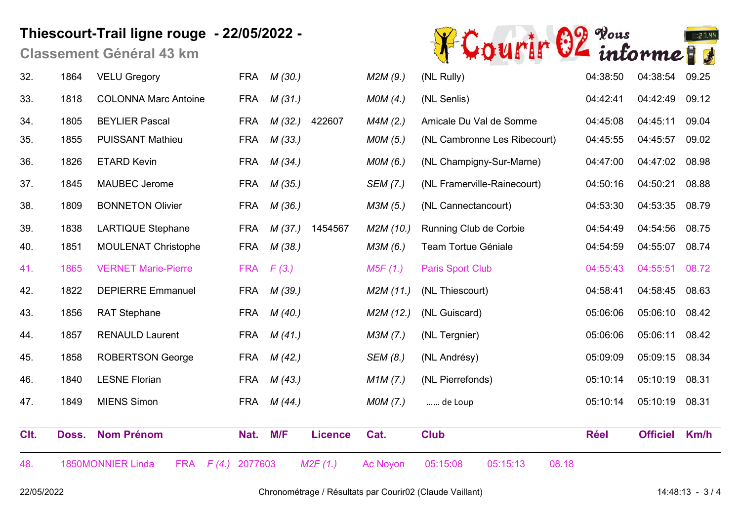**Classement Général 43 km**